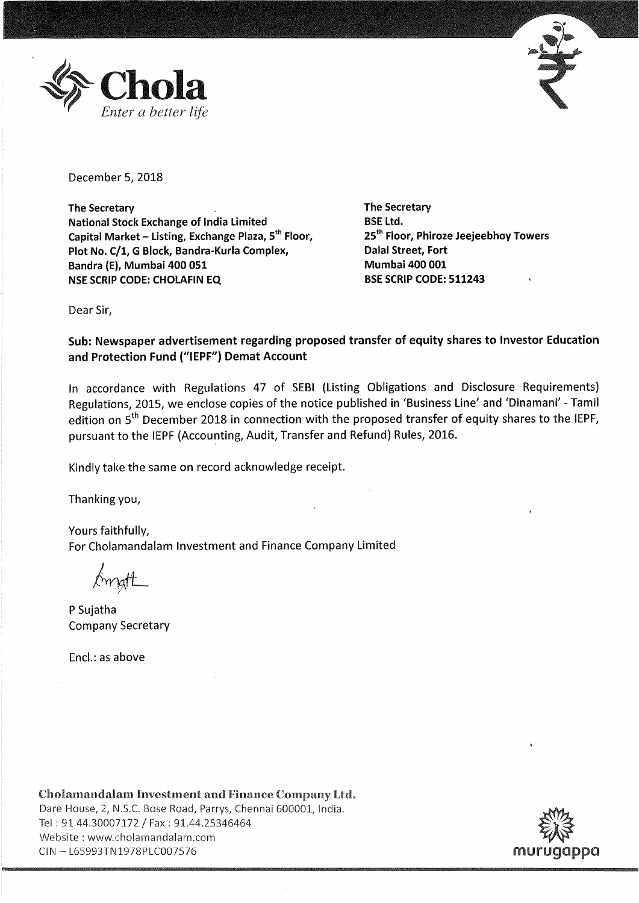



December 5, 2018

**The Secretary National Stock Exchange of India Limited Capital Market** - **Listing, Exchange Plaza, 5th Floor, Plot No. C/1, G Block, Bandra-Kurla Complex, Bandra** (E), **Mumbai 400 051 NSE SCRIP CODE: CHOLAFIN EQ** 

**The Secretary BSE Ltd. 25th Floor, Phiroze Jeejeebhoy Towers Dalal Street, Fort Mumbai 400 001 BSE SCRIP CODE: 511243** 

Dear Sir,

**Sub: Newspaper advertisement regarding proposed transfer of equity shares to Investor Education and Protection Fund ("IEPF") Demat Account** 

In accordance with Regulations 47 of SEBI (Listing Obligations and Disclosure Requirements) Regulations, 2015, we enclose copies of the notice published in 'Business Line' and 'Dinamani' - Tamil edition on  $5<sup>th</sup>$  December 2018 in connection with the proposed transfer of equity shares to the IEPF, pursuant to the IEPF (Accounting, Audit, Transfer and Refund) Rules, 2016.

Kindly take the same on record acknowledge receipt.

Thanking you,

Yours faithfully, For Cholamandalam Investment and Finance Company Limited

Amatt

P Sujatha Company Secretary

Encl.: as above

Cholamandalam Investment and Finance Company Ltd. Dare House, 2, N.S.C. Bose Road, Parrys, Chennai 600001, India. Tel: 91.44.30007172 /Fax: 91.44.25346464 Website : www.cholamandalam.com Tel : 91.44.30007172 / Fax : 91.44.25346464<br>Website : www.cholamandalam.com<br>CIN – L65993TN1978PLC007576 murugappa ~ Murugappa

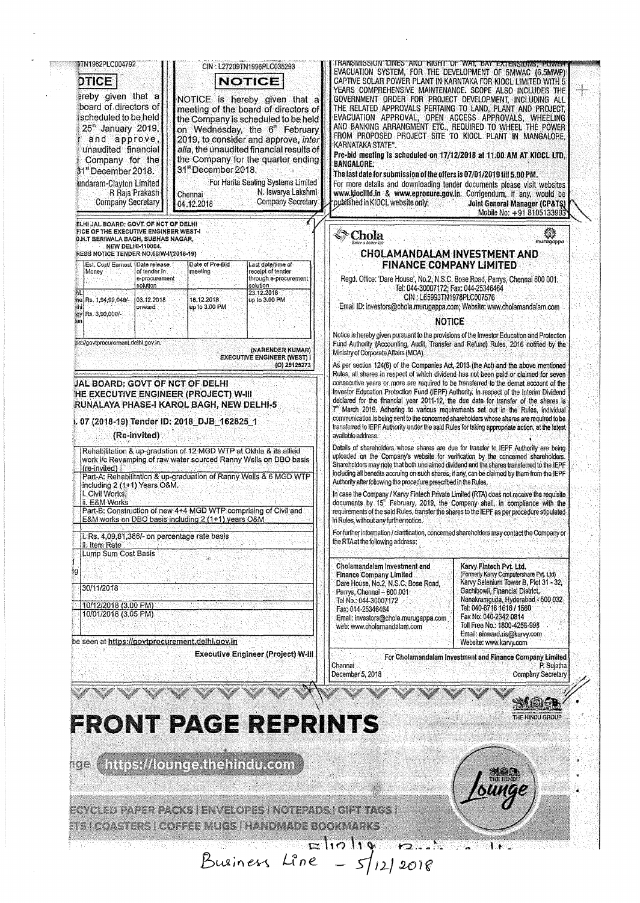